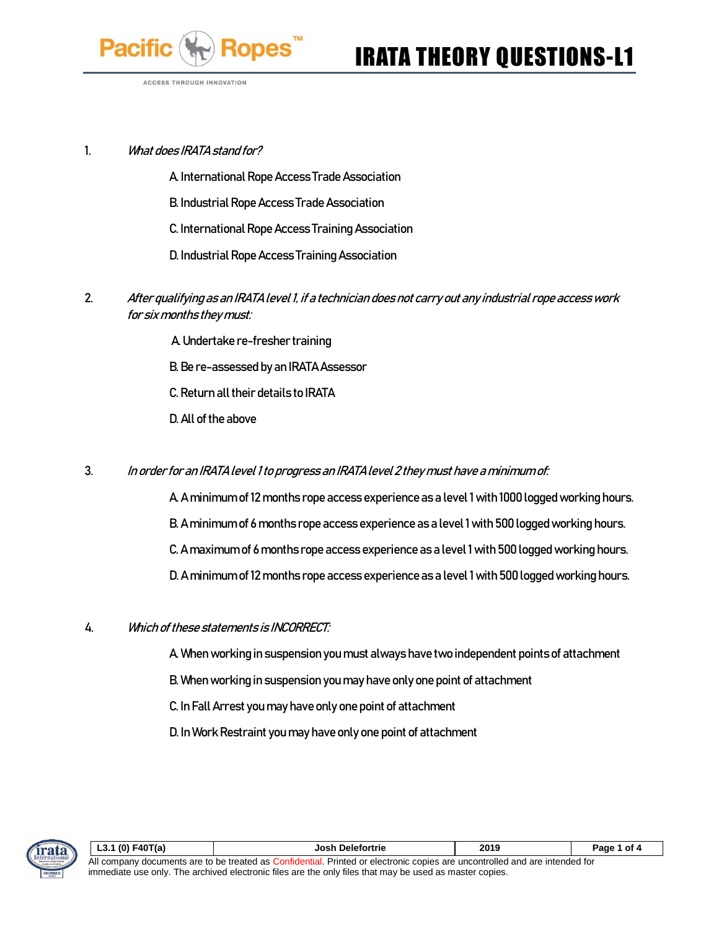

**ACCESS THROUGH INNOVATION** 

### 1. What does IRATA stand for?

A. International Rope Access Trade Association

B. Industrial Rope Access Trade Association

C. International Rope Access Training Association

D. Industrial Rope Access Training Association

- 2. After qualifying as an IRATA level 1, if a technician does not carry out any industrial rope access work for six months they must:
	- A. Undertake re-fresher training
	- B. Be re-assessed by an IRATA Assessor
	- C. Return all their details to IRATA
	- D. All of the above
- 3. In order for an IRATA level 1 to progress an IRATA level 2 they must have a minimum of:
	- A. A minimum of 12 months rope access experience as a level 1 with 1000 logged working hours. B. A minimum of 6 months rope access experience as a level 1 with 500 logged working hours. C. A maximum of 6 months rope access experience as a level 1 with 500 logged working hours. D. A minimum of 12 months rope access experience as a level 1 with 500 logged working hours.
- 4. Which of these statements is INCORRECT:
	- A. When working in suspension you must always have two independent points of attachment
	- B. When working in suspension you may have only one point of attachment
	- C. In Fall Arrest you may have only one point of attachment
	- D. In Work Restraint you may have only one point of attachment



| L3.1 (0) $F40T(a)$                                                                                                          | Josh Delefortrie | 2019 | Page 1 of 4 |
|-----------------------------------------------------------------------------------------------------------------------------|------------------|------|-------------|
| All company documents are to be treated as Confidential. Printed or electronic copies are uncontrolled and are intended for |                  |      |             |
| immediate use only. The archived electronic files are the only files that may be used as master copies.                     |                  |      |             |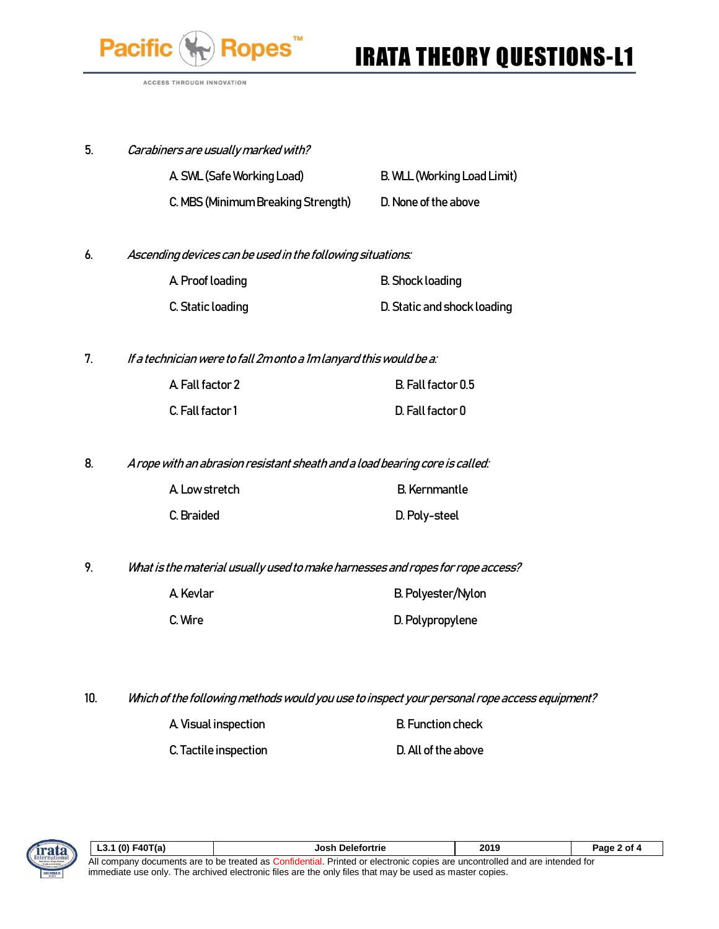

# IRATA THEORY QUESTIONS-L1

ACCESS THROUGH INNOVATION

| 5. | Carabiners are usually marked with? |                             |
|----|-------------------------------------|-----------------------------|
|    | A SWL (Safe Working Load)           | B. WLL (Working Load Limit) |
|    | C. MBS (Minimum Breaking Strength)  | D. None of the above        |

6. Ascending devices can be used in the following situations:

| A Proof loading   | <b>B.</b> Shock loading     |
|-------------------|-----------------------------|
| C. Static loading | D. Static and shock loading |

7. If a technician were to fall 2m onto a 1m lanyard this would be a:

| A Fall factor 2  | B. Fall factor 0.5 |
|------------------|--------------------|
| C. Fall factor 1 | D. Fall factor 0   |

8. A rope with an abrasion resistant sheath and a load bearing core is called:

| A Low stretch | B. Kernmantle |
|---------------|---------------|
| C. Braided    | D. Poly-steel |

9. What is the material usually used to make harnesses and ropes for rope access?

| A. Kevlar | B. Polyester/Nylon |
|-----------|--------------------|
| C. Wire   | D. Polypropylene   |

- 10. Which of the following methods would you use to inspect your personal rope access equipment?
	- A. Visual inspection B. Function check

C. Tactile inspection D. All of the above

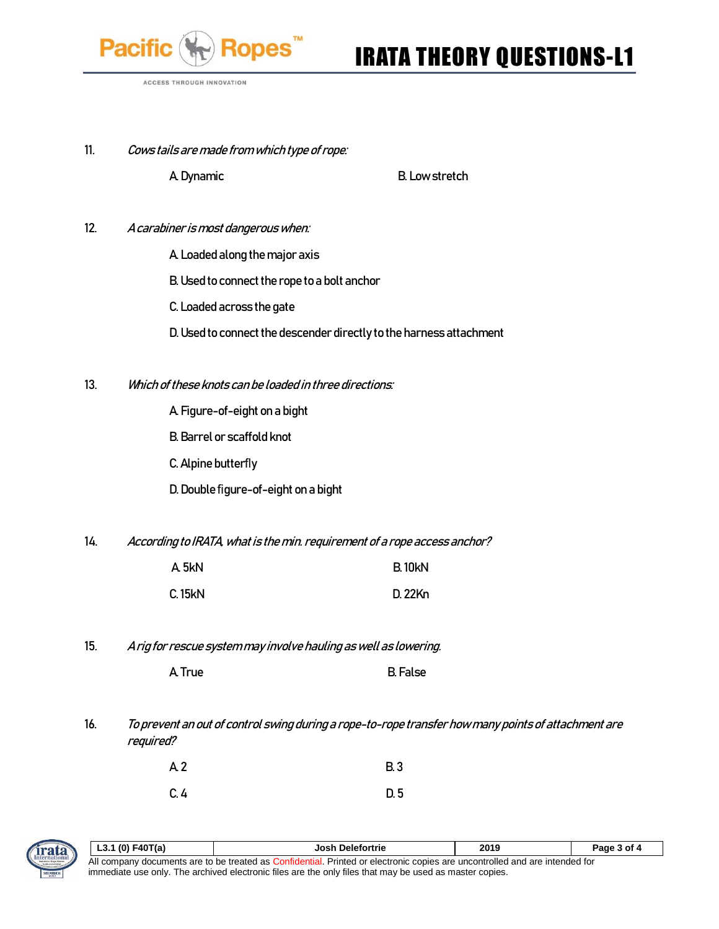

## IRATA THEORY QUESTIONS-L1

ACCESS THROUGH INNOVATION

11. Cows tails are made from which type of rope:

A. Dynamic B. Low stretch

- 12. A carabiner is most dangerous when:
	- A. Loaded along the major axis
	- B. Used to connect the rope to a bolt anchor
	- C. Loaded across the gate
	- D. Used to connect the descender directly to the harness attachment
- 13. Which of these knots can be loaded in three directions:
	- A. Figure-of-eight on a bight
	- B. Barrel or scaffold knot
	- C. Alpine butterfly
	- D. Double figure-of-eight on a bight
- 14. According to IRATA, what is the min. requirement of a rope access anchor?

| A 5kN         | <b>B.10kN</b> |
|---------------|---------------|
| <b>C.15kN</b> | D. 22Kn       |

15. A rig for rescue system may involve hauling as well as lowering.

| A True | B. False |
|--------|----------|
|--------|----------|

16. To prevent an out of control swing during a rope-to-rope transfer how many points of attachment are required?

| A <sub>2</sub> | <b>B.3</b> |
|----------------|------------|
| C.4            | D.5        |